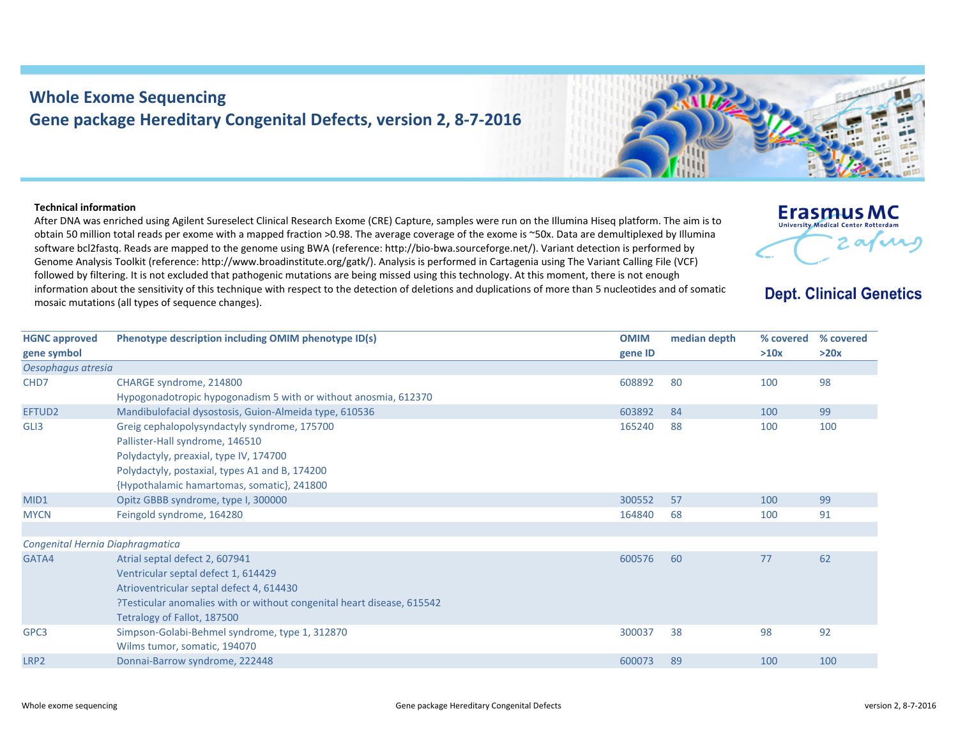## **Whole Exome Sequencing Gene package Hereditary Congenital Defects, version 2, 8‐7‐2016**

## **Technical information**

After DNA was enriched using Agilent Sureselect Clinical Research Exome (CRE) Capture, samples were run on the Illumina Hiseq platform. The aim is to obtain 50 million total reads per exome with <sup>a</sup> mapped fraction >0.98. The average coverage of the exome is ~50x. Data are demultiplexed by Illumina software bcl2fastq. Reads are mapped to the genome using BWA (reference: http://bio‐bwa.sourceforge.net/). Variant detection is performed by Genome Analysis Toolkit (reference: http://www.broadinstitute.org/gatk/). Analysis is performed in Cartagenia using The Variant Calling File (VCF) followed by filtering. It is not excluded that pathogenic mutations are being missed using this technology. At this moment, there is not enough information about the sensitivity of this technique with respect to the detection of deletions and duplications of more than 5 nucleotides and of somatic mosaic mutations (all types of sequence changes).





**Erasmus MC** University Medical Center Rotterda

**Dept. Clinical Genetics** 

2 avril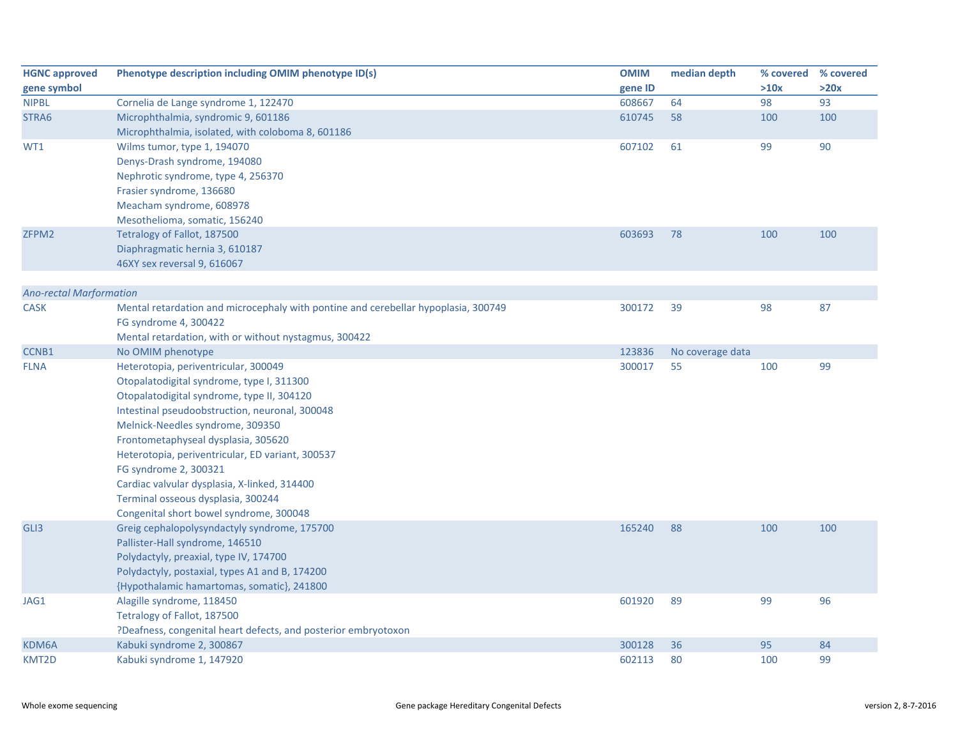| <b>HGNC approved</b>           | Phenotype description including OMIM phenotype ID(s)                               | <b>OMIM</b> | median depth     | % covered | % covered |
|--------------------------------|------------------------------------------------------------------------------------|-------------|------------------|-----------|-----------|
| gene symbol                    |                                                                                    | gene ID     |                  | >10x      | >20x      |
| <b>NIPBL</b>                   | Cornelia de Lange syndrome 1, 122470                                               | 608667      | 64               | 98        | 93        |
| STRA6                          | Microphthalmia, syndromic 9, 601186                                                | 610745      | 58               | 100       | 100       |
|                                | Microphthalmia, isolated, with coloboma 8, 601186                                  |             |                  |           |           |
| WT1                            | Wilms tumor, type 1, 194070                                                        | 607102      | 61               | 99        | 90        |
|                                | Denys-Drash syndrome, 194080                                                       |             |                  |           |           |
|                                | Nephrotic syndrome, type 4, 256370                                                 |             |                  |           |           |
|                                | Frasier syndrome, 136680                                                           |             |                  |           |           |
|                                | Meacham syndrome, 608978                                                           |             |                  |           |           |
|                                | Mesothelioma, somatic, 156240                                                      |             |                  |           |           |
| ZFPM2                          | Tetralogy of Fallot, 187500                                                        | 603693      | 78               | 100       | 100       |
|                                | Diaphragmatic hernia 3, 610187                                                     |             |                  |           |           |
|                                | 46XY sex reversal 9, 616067                                                        |             |                  |           |           |
|                                |                                                                                    |             |                  |           |           |
| <b>Ano-rectal Marformation</b> |                                                                                    |             |                  |           |           |
| <b>CASK</b>                    | Mental retardation and microcephaly with pontine and cerebellar hypoplasia, 300749 | 300172      | 39               | 98        | 87        |
|                                | FG syndrome 4, 300422                                                              |             |                  |           |           |
|                                | Mental retardation, with or without nystagmus, 300422                              |             |                  |           |           |
| CCNB1<br><b>FLNA</b>           | No OMIM phenotype                                                                  | 123836      | No coverage data |           |           |
|                                | Heterotopia, periventricular, 300049<br>Otopalatodigital syndrome, type I, 311300  | 300017      | 55               | 100       | 99        |
|                                | Otopalatodigital syndrome, type II, 304120                                         |             |                  |           |           |
|                                | Intestinal pseudoobstruction, neuronal, 300048                                     |             |                  |           |           |
|                                | Melnick-Needles syndrome, 309350                                                   |             |                  |           |           |
|                                | Frontometaphyseal dysplasia, 305620                                                |             |                  |           |           |
|                                | Heterotopia, periventricular, ED variant, 300537                                   |             |                  |           |           |
|                                | FG syndrome 2, 300321                                                              |             |                  |           |           |
|                                | Cardiac valvular dysplasia, X-linked, 314400                                       |             |                  |           |           |
|                                | Terminal osseous dysplasia, 300244                                                 |             |                  |           |           |
|                                | Congenital short bowel syndrome, 300048                                            |             |                  |           |           |
| GLI3                           | Greig cephalopolysyndactyly syndrome, 175700                                       | 165240      | 88               | 100       | 100       |
|                                | Pallister-Hall syndrome, 146510                                                    |             |                  |           |           |
|                                | Polydactyly, preaxial, type IV, 174700                                             |             |                  |           |           |
|                                | Polydactyly, postaxial, types A1 and B, 174200                                     |             |                  |           |           |
|                                | {Hypothalamic hamartomas, somatic}, 241800                                         |             |                  |           |           |
| JAG1                           | Alagille syndrome, 118450                                                          | 601920      | 89               | 99        | 96        |
|                                | Tetralogy of Fallot, 187500                                                        |             |                  |           |           |
|                                | ?Deafness, congenital heart defects, and posterior embryotoxon                     |             |                  |           |           |
| KDM6A                          | Kabuki syndrome 2, 300867                                                          | 300128      | 36               | 95        | 84        |
| KMT2D                          | Kabuki syndrome 1, 147920                                                          | 602113      | 80               | 100       | 99        |